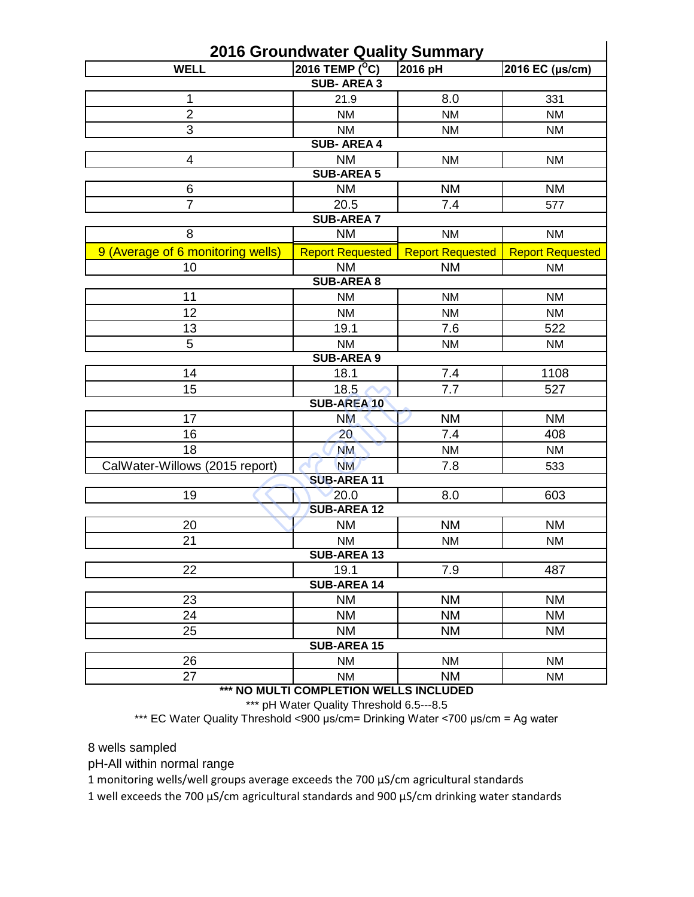| <b>2016 Groundwater Quality Summary</b> |                         |                         |                         |  |  |  |  |  |  |
|-----------------------------------------|-------------------------|-------------------------|-------------------------|--|--|--|--|--|--|
| <b>WELL</b>                             | 2016 TEMP $(^{\circ}C)$ | 2016 pH                 | 2016 EC (µs/cm)         |  |  |  |  |  |  |
| <b>SUB-AREA 3</b>                       |                         |                         |                         |  |  |  |  |  |  |
| 1                                       | 21.9                    | 8.0                     | 331                     |  |  |  |  |  |  |
| $\overline{2}$                          | <b>NM</b>               | <b>NM</b>               | <b>NM</b>               |  |  |  |  |  |  |
| $\overline{3}$                          | <b>NM</b>               | <b>NM</b>               | <b>NM</b>               |  |  |  |  |  |  |
|                                         | <b>SUB-AREA 4</b>       |                         |                         |  |  |  |  |  |  |
| 4                                       | <b>NM</b>               | NM                      | <b>NM</b>               |  |  |  |  |  |  |
|                                         | <b>SUB-AREA 5</b>       |                         |                         |  |  |  |  |  |  |
| 6                                       | <b>NM</b>               | <b>NM</b>               | <b>NM</b>               |  |  |  |  |  |  |
| $\overline{7}$                          | 20.5                    | 7.4                     | 577                     |  |  |  |  |  |  |
|                                         | <b>SUB-AREA 7</b>       |                         |                         |  |  |  |  |  |  |
| 8                                       | <b>NM</b>               | NM                      | <b>NM</b>               |  |  |  |  |  |  |
| 9 (Average of 6 monitoring wells)       | <b>Report Requested</b> | <b>Report Requested</b> | <b>Report Requested</b> |  |  |  |  |  |  |
| 10                                      | <b>NM</b>               | <b>NM</b>               | <b>NM</b>               |  |  |  |  |  |  |
|                                         | <b>SUB-AREA 8</b>       |                         |                         |  |  |  |  |  |  |
| 11                                      | <b>NM</b>               | <b>NM</b>               | <b>NM</b>               |  |  |  |  |  |  |
| 12                                      | <b>NM</b>               | <b>NM</b>               | <b>NM</b>               |  |  |  |  |  |  |
| 13                                      | 19.1                    | 7.6                     | 522                     |  |  |  |  |  |  |
| 5                                       | <b>NM</b>               | <b>NM</b>               |                         |  |  |  |  |  |  |
| NM<br><b>SUB-AREA 9</b>                 |                         |                         |                         |  |  |  |  |  |  |
| 14                                      | 7.4<br>18.1             |                         | 1108                    |  |  |  |  |  |  |
| 15                                      | 18.5                    | 7.7                     | 527                     |  |  |  |  |  |  |
| <b>SUB-AREA 10</b>                      |                         |                         |                         |  |  |  |  |  |  |
| 17                                      | <b>NM</b>               | <b>NM</b>               | <b>NM</b>               |  |  |  |  |  |  |
| 16                                      | 20                      | 7.4                     | 408                     |  |  |  |  |  |  |
| 18                                      | <b>NM</b>               | <b>NM</b>               | <b>NM</b>               |  |  |  |  |  |  |
| CalWater-Willows (2015 report)          | <b>NM</b>               | 7.8                     | 533                     |  |  |  |  |  |  |
|                                         | <b>SUB-AREA 11</b>      |                         |                         |  |  |  |  |  |  |
| 19                                      | 20.0                    | 8.0                     | 603                     |  |  |  |  |  |  |
|                                         | <b>SUB-AREA 12</b>      |                         |                         |  |  |  |  |  |  |
| 20                                      | <b>NM</b>               | <b>NM</b>               | <b>NM</b>               |  |  |  |  |  |  |
| 21                                      | NM                      | NM                      | NM                      |  |  |  |  |  |  |
| <b>SUB-AREA 13</b>                      |                         |                         |                         |  |  |  |  |  |  |
| 22                                      | 19.1                    | 7.9                     | 487                     |  |  |  |  |  |  |
|                                         | <b>SUB-AREA 14</b>      |                         |                         |  |  |  |  |  |  |
| 23                                      | <b>NM</b>               | <b>NM</b>               | <b>NM</b>               |  |  |  |  |  |  |
| 24                                      | <b>NM</b>               | <b>NM</b>               | <b>NM</b>               |  |  |  |  |  |  |
| 25                                      | <b>NM</b>               | <b>NM</b>               | <b>NM</b>               |  |  |  |  |  |  |
| <b>SUB-AREA 15</b>                      |                         |                         |                         |  |  |  |  |  |  |
| 26                                      | <b>NM</b>               | <b>NM</b>               | <b>NM</b><br><b>NM</b>  |  |  |  |  |  |  |
| 27                                      | <b>NM</b>               | <b>NM</b>               |                         |  |  |  |  |  |  |

**\*\*\* NO MULTI COMPLETION WELLS INCLUDED**

\*\*\* pH Water Quality Threshold 6.5---8.5

\*\*\* EC Water Quality Threshold <900 μs/cm= Drinking Water <700 μs/cm = Ag water

8 wells sampled

pH-All within normal range

1 monitoring wells/well groups average exceeds the 700 μS/cm agricultural standards

1 well exceeds the 700 μS/cm agricultural standards and 900 μS/cm drinking water standards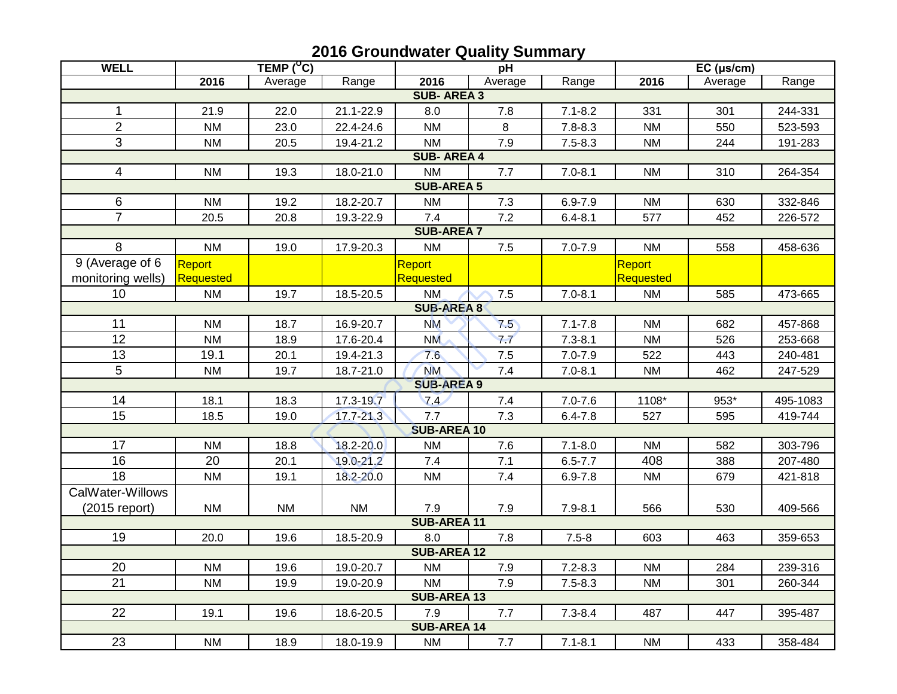| <b>WELL</b>        |           | TEMP $(^{\circ}C)$ |               | pH                 |         | $EC$ ( $\mu s/cm$ ) |           |         |          |  |
|--------------------|-----------|--------------------|---------------|--------------------|---------|---------------------|-----------|---------|----------|--|
|                    | 2016      | Average            | Range         | 2016               | Average | Range               | 2016      | Average | Range    |  |
| <b>SUB-AREA 3</b>  |           |                    |               |                    |         |                     |           |         |          |  |
| 1                  | 21.9      | 22.0               | 21.1-22.9     | 8.0                | 7.8     | $7.1 - 8.2$         | 331       | 301     | 244-331  |  |
| $\overline{2}$     | <b>NM</b> | 23.0               | 22.4-24.6     | <b>NM</b>          | 8       | $7.8 - 8.3$         | <b>NM</b> | 550     | 523-593  |  |
| 3                  | <b>NM</b> | 20.5               | 19.4-21.2     | <b>NM</b>          | 7.9     | $7.5 - 8.3$         | <b>NM</b> | 244     | 191-283  |  |
| <b>SUB-AREA4</b>   |           |                    |               |                    |         |                     |           |         |          |  |
| 4                  | <b>NM</b> | 19.3               | 18.0-21.0     | <b>NM</b>          | 7.7     | $7.0 - 8.1$         | <b>NM</b> | 310     | 264-354  |  |
| <b>SUB-AREA 5</b>  |           |                    |               |                    |         |                     |           |         |          |  |
| 6                  | <b>NM</b> | 19.2               | 18.2-20.7     | <b>NM</b>          | 7.3     | $6.9 - 7.9$         | <b>NM</b> | 630     | 332-846  |  |
| $\overline{7}$     | 20.5      | 20.8               | 19.3-22.9     | 7.4                | 7.2     | $6.4 - 8.1$         | 577       | 452     | 226-572  |  |
| <b>SUB-AREA 7</b>  |           |                    |               |                    |         |                     |           |         |          |  |
| 8                  | <b>NM</b> | 19.0               | 17.9-20.3     | <b>NM</b>          | $7.5$   | $7.0 - 7.9$         | <b>NM</b> | 558     | 458-636  |  |
| 9 (Average of 6    | Report    |                    |               | Report             |         |                     | Report    |         |          |  |
| monitoring wells)  | Requested |                    |               | <b>Requested</b>   |         |                     | Requested |         |          |  |
| 10                 | <b>NM</b> | 19.7               | 18.5-20.5     | <b>NM</b>          | 7.5     | $7.0 - 8.1$         | <b>NM</b> | 585     | 473-665  |  |
| <b>SUB-AREA 8</b>  |           |                    |               |                    |         |                     |           |         |          |  |
| 11                 | <b>NM</b> | 18.7               | 16.9-20.7     | <b>NM</b>          | 7.5     | $7.1 - 7.8$         | <b>NM</b> | 682     | 457-868  |  |
| 12                 | <b>NM</b> | 18.9               | 17.6-20.4     | <b>NM</b>          | 77      | $7.3 - 8.1$         | <b>NM</b> | 526     | 253-668  |  |
| 13                 | 19.1      | 20.1               | 19.4-21.3     | 7.6                | $7.5$   | $7.0 - 7.9$         | 522       | 443     | 240-481  |  |
| 5                  | <b>NM</b> | 19.7               | 18.7-21.0     | <b>NM</b>          | 7.4     | $7.0 - 8.1$         | <b>NM</b> | 462     | 247-529  |  |
|                    |           |                    |               | <b>SUB-AREA 9</b>  |         |                     |           |         |          |  |
| 14                 | 18.1      | 18.3               | 17.3-19.7     | 74                 | 7.4     | $7.0 - 7.6$         | 1108*     | 953*    | 495-1083 |  |
| 15                 | 18.5      | 19.0               | 17.7-21.3     | 7.7                | 7.3     | $6.4 - 7.8$         | 527       | 595     | 419-744  |  |
|                    |           |                    |               | <b>SUB-AREA 10</b> |         |                     |           |         |          |  |
| 17                 | <b>NM</b> | 18.8               | $18.2 - 20.0$ | <b>NM</b>          | 7.6     | $7.1 - 8.0$         | <b>NM</b> | 582     | 303-796  |  |
| $\overline{16}$    | 20        | 20.1               | 19.0-21.2     | 7.4                | 7.1     | $6.5 - 7.7$         | 408       | 388     | 207-480  |  |
| $\overline{18}$    | <b>NM</b> | 19.1               | 18.2-20.0     | <b>NM</b>          | 7.4     | $6.9 - 7.8$         | <b>NM</b> | 679     | 421-818  |  |
| CalWater-Willows   |           |                    |               |                    |         |                     |           |         |          |  |
| $(2015$ report)    | <b>NM</b> | <b>NM</b>          | <b>NM</b>     | 7.9                | 7.9     | $7.9 - 8.1$         | 566       | 530     | 409-566  |  |
| <b>SUB-AREA 11</b> |           |                    |               |                    |         |                     |           |         |          |  |
| 19                 | 20.0      | 19.6               | 18.5-20.9     | 8.0                | 7.8     | $7.5 - 8$           | 603       | 463     | 359-653  |  |
| <b>SUB-AREA 12</b> |           |                    |               |                    |         |                     |           |         |          |  |
| 20                 | <b>NM</b> | 19.6               | 19.0-20.7     | <b>NM</b>          | 7.9     | $7.2 - 8.3$         | <b>NM</b> | 284     | 239-316  |  |
| 21                 | <b>NM</b> | 19.9               | 19.0-20.9     | <b>NM</b>          | 7.9     | $7.5 - 8.3$         | <b>NM</b> | 301     | 260-344  |  |
| <b>SUB-AREA 13</b> |           |                    |               |                    |         |                     |           |         |          |  |
| 22                 | 19.1      | 19.6               | 18.6-20.5     | 7.9                | 7.7     | $7.3 - 8.4$         | 487       | 447     | 395-487  |  |
| <b>SUB-AREA 14</b> |           |                    |               |                    |         |                     |           |         |          |  |
| 23                 | <b>NM</b> | 18.9               | 18.0-19.9     | <b>NM</b>          | 7.7     | $7.1 - 8.1$         | <b>NM</b> | 433     | 358-484  |  |

## **2016 Groundwater Quality Summary**